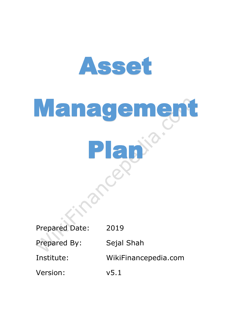

# Management Plan

Prepared Date: 2019

Prepared By: Sejal Shah

Institute: WikiFinancepedia.com

Version: v5.1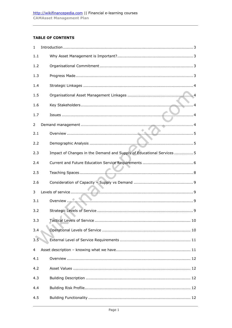### **TABLE OF CONTENTS**

| $\mathbf{1}$ |                                                                       |
|--------------|-----------------------------------------------------------------------|
| 1.1          |                                                                       |
| 1.2          |                                                                       |
| 1.3          |                                                                       |
| 1.4          |                                                                       |
| 1.5          |                                                                       |
| 1.6          |                                                                       |
| 1.7          |                                                                       |
| 2            |                                                                       |
| 2.1          |                                                                       |
| 2.2          |                                                                       |
| 2.3          | Impact of Changes in the Demand and Supply of Educational Services  5 |
| 2.4          |                                                                       |
| 2.5          |                                                                       |
| 2.6          |                                                                       |
| 3            |                                                                       |
| 3.1          | Overview                                                              |
| 3.2          |                                                                       |
| 3.3          |                                                                       |
| 3.4          |                                                                       |
| 3.5          |                                                                       |
| 4            |                                                                       |
| 4.1          |                                                                       |
| 4.2          |                                                                       |
| 4.3          |                                                                       |
| 4.4          |                                                                       |
| 4.5          |                                                                       |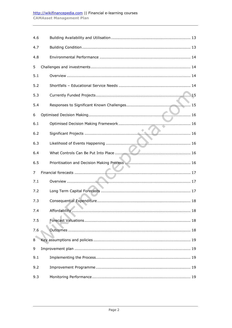## http://wikifinancepedia.com || Financial e-learning courses **CAMAsset Management Plan**

| 4.6 |                                   |
|-----|-----------------------------------|
| 4.7 |                                   |
| 4.8 |                                   |
| 5   |                                   |
| 5.1 |                                   |
| 5.2 |                                   |
| 5.3 |                                   |
| 5.4 |                                   |
| 6   |                                   |
| 6.1 |                                   |
| 6.2 |                                   |
| 6.3 |                                   |
| 6.4 |                                   |
| 6.5 |                                   |
| 7   | <b>Contract Contract Contract</b> |
| 7.1 |                                   |
| 7.2 |                                   |
| 7.3 |                                   |
| 7.4 |                                   |
|     |                                   |
| 7.5 |                                   |
| 7.6 |                                   |
| 8   |                                   |
| 9   |                                   |
| 9.1 |                                   |
| 9.2 |                                   |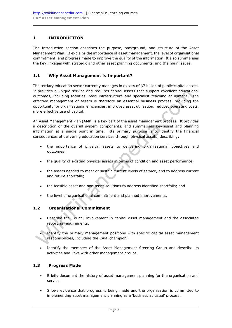## <span id="page-3-0"></span>**1 INTRODUCTION**

The Introduction section describes the purpose, background, and structure of the Asset Management Plan. It explains the importance of asset management, the level of organisational commitment, and progress made to improve the quality of the information. It also summarises the key linkages with strategic and other asset planning documents, and the main issues.

### <span id="page-3-1"></span>**1.1 Why Asset Management is Important?**

The tertiary education sector currently manages in excess of \$7 billion of public capital assets. It provides a unique service and requires capital assets that support excellent educational outcomes, including facilities, base infrastructure and specialist teaching equipment. The effective management of assets is therefore an essential business process, providing the opportunity for organisational efficiencies, improved asset utilisation, reduced operating costs, more effective use of capital.

An Asset Management Plan (AMP) is a key part of the asset management process. It provides a description of the overall system components, and summarises key asset and planning information at a single point in time. Its primary purpose is to identify the financial consequences of delivering education services through physical assets, describing:

- the importance of physical assets to delivering organisational objectives and outcomes;
- the quality of existing physical assets in terms of condition and asset performance;
- the assets needed to meet or sustain current levels of service, and to address current and future shortfalls;
- the feasible asset and non-asset solutions to address identified shortfalls; and
- the level of organisational commitment and planned improvements.

### <span id="page-3-2"></span>**1.2 Organisational Commitment**

- Describe the Council involvement in capital asset management and the associated reporting requirements.
- Identify the primary management positions with specific capital asset management responsibilities, including the CAM 'champion'.
- Identify the members of the Asset Management Steering Group and describe its activities and links with other management groups.

### <span id="page-3-3"></span>**1.3 Progress Made**

- Briefly document the history of asset management planning for the organisation and service.
- Shows evidence that progress is being made and the organisation is committed to implementing asset management planning as a 'business as usual' process.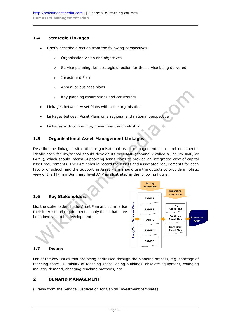# <span id="page-4-0"></span>**1.4 Strategic Linkages**

- Briefly describe direction from the following perspectives:
	- o Organisation vision and objectives
	- $\circ$  Service planning, i.e. strategic direction for the service being delivered
	- o Investment Plan
	- o Annual or business plans
	- o Key planning assumptions and constraints
- Linkages between Asset Plans within the organisation
- Linkages between Asset Plans on a regional and national perspective
- Linkages with community, government and industry

## <span id="page-4-1"></span>**1.5 Organisational Asset Management Linkages**

Describe the linkages with other organisational asset management plans and documents. Ideally each faculty/school should develop its own AMP (nominally called a Faculty AMP, or FAMP), which should inform Supporting Asset Plans to provide an integrated view of capital asset requirements. The FAMP should record the assets and associated requirements for each faculty or school, and the Supporting Asset Plans should use the outputs to provide a holistic view of the ITP in a Summary level AMP as illustrated in the following figure.

### <span id="page-4-2"></span>**1.6 Key Stakeholders**

List the stakeholders in the Asset Plan and summarise their interest and requirements – only those that have been involved in its development.



# <span id="page-4-3"></span>**1.7 Issues**

List of the key issues that are being addressed through the planning process, e.g. shortage of teaching space, suitability of teaching space, aging buildings, obsolete equipment, changing industry demand, changing teaching methods, etc.

### <span id="page-4-4"></span>**2 DEMAND MANAGEMENT**

(Drawn from the Service Justification for Capital Investment template)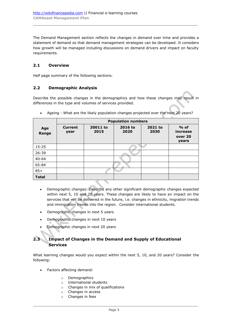The Demand Management section reflects the changes in demand over time and provides a statement of demand so that demand management strategies can be developed. It considers how growth will be managed including discussions on demand drivers and impact on faculty requirements.

# <span id="page-5-0"></span>**2.1 Overview**

Half page summary of the following sections.

## <span id="page-5-1"></span>**2.2 Demographic Analysis**

Describe the possible changes in the demographics and how these changes may result in differences in the type and volumes of services provided.

|              | <b>Population numbers</b> |                  |                 |                 |                                        |  |  |  |  |  |
|--------------|---------------------------|------------------|-----------------|-----------------|----------------------------------------|--|--|--|--|--|
| Age<br>Range | <b>Current</b><br>year    | 20011 to<br>2015 | 2016 to<br>2020 | 2021 to<br>2030 | $%$ of<br>increase<br>over 20<br>years |  |  |  |  |  |
| $15 - 25$    |                           |                  |                 |                 |                                        |  |  |  |  |  |
| $26 - 39$    |                           |                  |                 |                 |                                        |  |  |  |  |  |
| $40 - 64$    |                           |                  |                 |                 |                                        |  |  |  |  |  |
| 65-84        |                           |                  |                 |                 |                                        |  |  |  |  |  |
| $85+$        |                           |                  |                 |                 |                                        |  |  |  |  |  |
| <b>Total</b> |                           |                  |                 |                 |                                        |  |  |  |  |  |

Ageing - What are the likely population changes projected over the next 20 years?

- Demographic changes: Describe any other significant demographic changes expected within next 5, 10 and 20 years. These changes are likely to have an impact on the services that will be delivered in the future, i.e. changes in ethnicity, migration trends and immigration trends into the region. Consider international students.
- Demographic changes in next 5 years
- Demographic changes in next 10 years
- Demographic changes in next 20 years

# <span id="page-5-2"></span>**2.3 Impact of Changes in the Demand and Supply of Educational Services**

What learning changes would you expect within the next 5, 10, and 20 years? Consider the following:

- Factors affecting demand:
	- o Demographics
	- o International students
	- o Changes in mix of qualifications
	- o Changes in access
	- o Changes in fees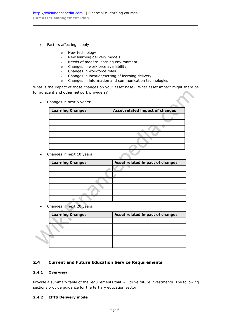- Factors affecting supply:
	- o New technology
	- o New learning delivery models
	- o Needs of modern learning environment
	- o Changes in workforce availability
	- o Changes in workforce roles
	- o Changes in location/setting of learning delivery
	- o Changes in information and communication technologies

What is the impact of those changes on your asset base? What asset impact might there be for adjacent and other network providers?

Changes in next 5 years:

| <b>Learning Changes</b> | Asset related impact of changes |
|-------------------------|---------------------------------|
|                         |                                 |
|                         |                                 |
|                         |                                 |
|                         |                                 |
|                         |                                 |
|                         |                                 |

• Changes in next 10 years:

| <b>Learning Changes</b> | Asset related impact of changes |
|-------------------------|---------------------------------|
|                         |                                 |
|                         |                                 |
|                         |                                 |
|                         |                                 |
|                         |                                 |
|                         |                                 |

Changes in next 20 years:

|  | <b>Learning Changes</b> | Asset related impact of changes |
|--|-------------------------|---------------------------------|
|  |                         |                                 |
|  |                         |                                 |
|  |                         |                                 |
|  |                         |                                 |
|  |                         |                                 |

### <span id="page-6-0"></span>**2.4 Current and Future Education Service Requirements**

#### **2.4.1 Overview**

Provide a summary table of the requirements that will drive future investments. The following sections provide guidance for the tertiary education sector.

#### **2.4.2 EFTS Delivery mode**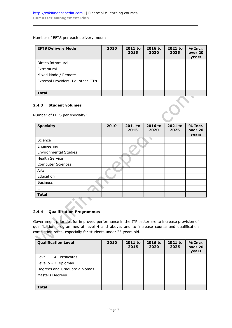Number of EFTS per each delivery mode:

| <b>EFTS Delivery Mode</b>           | 2010 | 2011 to<br>2015 | 2016 to<br>2020 | 2021 to<br>2025 | % Incr.<br>over 20<br>years |
|-------------------------------------|------|-----------------|-----------------|-----------------|-----------------------------|
| Direct/Intramural                   |      |                 |                 |                 |                             |
| Extramural                          |      |                 |                 |                 |                             |
| Mixed Mode / Remote                 |      |                 |                 |                 |                             |
| External Providers, i.e. other ITPs |      |                 |                 |                 |                             |
| $\cdots$                            |      |                 |                 |                 |                             |
| <b>Total</b>                        |      |                 |                 |                 |                             |

#### **2.4.3 Student volumes**

Number of EFTS per specialty:

| <b>Specialty</b>             | 2010 | 2011 to<br>2015 | 2016 to<br>2020 | 2021 to<br>2025 | % Incr.<br>over 20<br>years |
|------------------------------|------|-----------------|-----------------|-----------------|-----------------------------|
| Science                      |      |                 |                 |                 |                             |
| Engineering                  |      |                 |                 |                 |                             |
| <b>Environmental Studies</b> |      |                 |                 |                 |                             |
| <b>Health Service</b>        |      |                 |                 |                 |                             |
| <b>Computer Sciences</b>     |      |                 |                 |                 |                             |
| Arts                         |      |                 |                 |                 |                             |
| Education                    |      |                 |                 |                 |                             |
| <b>Business</b>              |      |                 |                 |                 |                             |
| $\cdots$                     |      |                 |                 |                 |                             |
| <b>Total</b>                 |      |                 |                 |                 |                             |

## **2.4.4 Qualification Programmes**

 $\mathcal{L}$ 

Government priorities for improved performance in the ITP sector are to increase provision of qualification programmes at level 4 and above, and to increase course and qualification completion rates, especially for students under 25 years old.

| <b>Qualification Level</b>    | 2010 | 2011 to<br>2015 | 2016 to<br>2020 | 2021 to<br>2025 | $%$ Incr.<br>over 20<br>years |
|-------------------------------|------|-----------------|-----------------|-----------------|-------------------------------|
| Level 1 - 4 Certificates      |      |                 |                 |                 |                               |
| Level 5 - 7 Diplomas          |      |                 |                 |                 |                               |
| Degrees and Graduate diplomas |      |                 |                 |                 |                               |
| Masters Degrees               |      |                 |                 |                 |                               |
| $\cdots$                      |      |                 |                 |                 |                               |
| <b>Total</b>                  |      |                 |                 |                 |                               |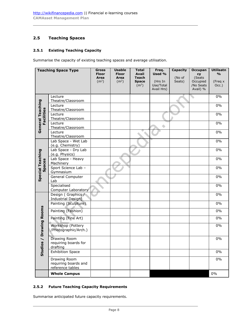# <span id="page-8-0"></span>**2.5 Teaching Spaces**

#### <span id="page-8-1"></span>**2.5.1 Existing Teaching Capacity**

Summarise the capacity of existing teaching spaces and average utilisation.

| <b>Teaching Space Type</b>                                  |                                                          | <b>Gross</b><br><b>Floor</b><br>Area<br>(m <sup>2</sup> ) | <b>Usable</b><br><b>Floor</b><br>Area<br>(m <sup>2</sup> ) | <b>Total</b><br><b>Avail</b><br><b>Teach</b><br><b>Space</b><br>(m <sup>2</sup> ) | Freq.<br>Used %<br>(Hrs In<br>Use/Total<br>Avail Hrs) | Capacity<br>(No of<br>Seats) | <b>Occupan</b><br><b>Cy</b><br>(Seats<br>Occupied<br>/No Seats<br>Avail) % | <b>Utilisatn</b><br>$\frac{0}{0}$<br>(Freq x<br>Occ.) |
|-------------------------------------------------------------|----------------------------------------------------------|-----------------------------------------------------------|------------------------------------------------------------|-----------------------------------------------------------------------------------|-------------------------------------------------------|------------------------------|----------------------------------------------------------------------------|-------------------------------------------------------|
|                                                             | Lecture<br>Theatre/Classroom                             |                                                           |                                                            |                                                                                   |                                                       |                              |                                                                            | 0%                                                    |
|                                                             | Lecture<br>Theatre/Classroom                             |                                                           |                                                            |                                                                                   |                                                       |                              |                                                                            | 0%                                                    |
| Facilities                                                  | Lecture<br>Theatre/Classroom                             |                                                           |                                                            |                                                                                   |                                                       |                              |                                                                            | 0%                                                    |
| General Teaching                                            | Lecture<br>Theatre/Classroom                             |                                                           |                                                            |                                                                                   |                                                       |                              |                                                                            | 0%                                                    |
|                                                             | Lecture<br>Theatre/Classroom                             |                                                           |                                                            |                                                                                   |                                                       |                              |                                                                            | 0%                                                    |
|                                                             | Lab Space - Wet Lab<br>(e.g. Chemistry)                  |                                                           |                                                            |                                                                                   |                                                       |                              |                                                                            | 0%                                                    |
|                                                             | Lab Space - Dry Lab<br>(e.g. Physics)                    |                                                           |                                                            |                                                                                   |                                                       |                              |                                                                            | 0%                                                    |
| <b>Special Teaching</b>                                     | Lab Space - Heavy<br>Machinery                           |                                                           |                                                            |                                                                                   |                                                       |                              |                                                                            | 0%                                                    |
| Spaces                                                      | Sport Science Lab -<br>Gymnasium                         |                                                           |                                                            |                                                                                   |                                                       |                              |                                                                            | 0%                                                    |
|                                                             | General Computer<br>Lab                                  |                                                           |                                                            |                                                                                   |                                                       |                              |                                                                            | $0\%$                                                 |
|                                                             | Specialised<br>Computer Laboratory                       |                                                           |                                                            |                                                                                   |                                                       |                              |                                                                            | 0%                                                    |
|                                                             | Design (Graphics /<br>Industrial Design)                 |                                                           |                                                            |                                                                                   |                                                       |                              |                                                                            | 0%                                                    |
|                                                             | Painting (Sculpture)                                     |                                                           |                                                            |                                                                                   |                                                       |                              |                                                                            | 0%                                                    |
|                                                             | Painting (Fashion)                                       |                                                           |                                                            |                                                                                   |                                                       |                              |                                                                            | 0%                                                    |
|                                                             | Painting (Fine Art)                                      |                                                           |                                                            |                                                                                   |                                                       |                              |                                                                            | 0%                                                    |
| <b>Drawing Rooms</b><br>$\overline{\phantom{0}}$<br>Studios | Workshop (Pottery<br>/Photographic/Arch.)                |                                                           |                                                            |                                                                                   |                                                       |                              |                                                                            | 0%                                                    |
|                                                             | <b>Drawing Room</b><br>requiring boards for<br>drafting  |                                                           |                                                            |                                                                                   |                                                       |                              |                                                                            | 0%                                                    |
|                                                             | <b>Exhibition Space</b>                                  |                                                           |                                                            |                                                                                   |                                                       |                              |                                                                            | $0\%$                                                 |
|                                                             | Drawing Room<br>requiring boards and<br>reference tables |                                                           |                                                            |                                                                                   |                                                       |                              |                                                                            | $0\%$                                                 |
|                                                             | <b>Whole Campus</b>                                      |                                                           |                                                            |                                                                                   |                                                       |                              |                                                                            | $0\%$                                                 |

#### **2.5.2 Future Teaching Capacity Requirements**

Summarise anticipated future capacity requirements.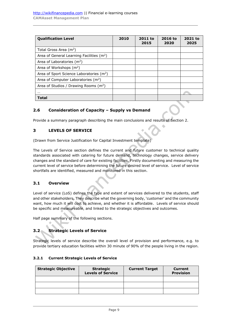| <b>Qualification Level</b>                            | 2010 | 2011 to<br>2015 | 2016 to<br>2020 | 2021 to<br>2025 |
|-------------------------------------------------------|------|-----------------|-----------------|-----------------|
| Total Gross Area $(m2)$                               |      |                 |                 |                 |
| Area of General Learning Facilities (m <sup>2</sup> ) |      |                 |                 |                 |
| Area of Laboratories $(m2)$                           |      |                 |                 |                 |
| Area of Workshops $(m2)$                              |      |                 |                 |                 |
| Area of Sport Science Laboratories (m <sup>2</sup> )  |      |                 |                 |                 |
| Area of Computer Laboratories (m <sup>2</sup> )       |      |                 |                 |                 |
| Area of Studios / Drawing Rooms $(m2)$                |      |                 |                 |                 |
|                                                       |      |                 |                 |                 |
| Total                                                 |      |                 |                 |                 |

## <span id="page-9-0"></span>**2.6 Consideration of Capacity – Supply vs Demand**

Provide a summary paragraph describing the main conclusions and results of Section 2.

### <span id="page-9-1"></span>**3 LEVELS OF SERVICE**

(Drawn from Service Justification for Capital Investment template)

The Levels of Service section defines the current and future customer to technical quality standards associated with catering for future demand, technology changes, service delivery changes and the standard of care for existing facilities. Firstly documenting and measuring the current level of service before determining the future desired level of service. Level of service shortfalls are identified, measured and monitored in this section.

### <span id="page-9-2"></span>**3.1 Overview**

Level of service (LoS) defines the type and extent of services delivered to the students, staff and other stakeholders. They describe what the governing body, 'customer' and the community want, how much it will cost to achieve, and whether it is affordable. Levels of service should be specific and measureable, and linked to the strategic objectives and outcomes.

Half page summary of the following sections.

# <span id="page-9-3"></span>**3.2 Strategic Levels of Service**

Strategic levels of service describe the overall level of provision and performance, e.g. to provide tertiary education facilities within 30 minute of 90% of the people living in the region.

#### **3.2.1 Current Strategic Levels of Service**

| <b>Strategic Objective</b> | <b>Strategic</b><br><b>Levels of Service</b> | <b>Current Target</b> | Current<br><b>Provision</b> |
|----------------------------|----------------------------------------------|-----------------------|-----------------------------|
|                            |                                              |                       |                             |
|                            |                                              |                       |                             |
|                            |                                              |                       |                             |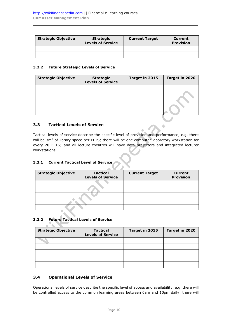| <b>Strategic Objective</b> | <b>Strategic</b><br><b>Levels of Service</b> | <b>Current Target</b> | Current<br><b>Provision</b> |
|----------------------------|----------------------------------------------|-----------------------|-----------------------------|
|                            |                                              |                       |                             |
|                            |                                              |                       |                             |

#### **3.2.2 Future Strategic Levels of Service**

| <b>Strategic Objective</b> | <b>Strategic</b><br><b>Levels of Service</b> | Target in 2015 | Target in 2020 |
|----------------------------|----------------------------------------------|----------------|----------------|
|                            |                                              |                |                |
|                            |                                              |                |                |
|                            |                                              |                |                |
|                            |                                              |                |                |
|                            |                                              |                |                |

### <span id="page-10-0"></span>**3.3 Tactical Levels of Service**

Tactical levels of service describe the specific level of provision and performance, e.g. there will be 3m<sup>2</sup> of library space per EFTS; there will be one computer laboratory workstation for every 20 EFTS; and all lecture theatres will have data projectors and integrated lecturer workstations.

# **3.3.1 Current Tactical Level of Service**

| <b>Strategic Objective</b> | <b>Tactical</b><br><b>Levels of Service</b> | <b>Current Target</b> | <b>Current</b><br><b>Provision</b> |
|----------------------------|---------------------------------------------|-----------------------|------------------------------------|
|                            |                                             |                       |                                    |
|                            |                                             |                       |                                    |
|                            |                                             |                       |                                    |
|                            |                                             |                       |                                    |
|                            |                                             |                       |                                    |

### **3.3.2 Future Tactical Levels of Service**

 $\Delta$  $\sim$ 

| <b>Strategic Objective</b> | <b>Tactical</b><br><b>Levels of Service</b> | Target in 2015 | Target in 2020 |
|----------------------------|---------------------------------------------|----------------|----------------|
|                            |                                             |                |                |
|                            |                                             |                |                |
|                            |                                             |                |                |
|                            |                                             |                |                |
|                            |                                             |                |                |

### <span id="page-10-1"></span>**3.4 Operational Levels of Service**

Operational levels of service describe the specific level of access and availability, e.g. there will be controlled access to the common learning areas between 6am and 10pm daily; there will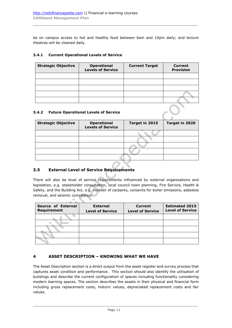be on campus access to hot and healthy food between 6am and 10pm daily; and lecture theatres will be cleaned daily.

#### **3.4.1 Current Operational Levels of Service**

| <b>Strategic Objective</b> | <b>Operational</b><br><b>Levels of Service</b> | <b>Current Target</b> | <b>Current</b><br><b>Provision</b> |
|----------------------------|------------------------------------------------|-----------------------|------------------------------------|
|                            |                                                |                       |                                    |
|                            |                                                |                       |                                    |
|                            |                                                |                       |                                    |
|                            |                                                |                       |                                    |
|                            |                                                |                       |                                    |

#### **3.4.2 Future Operational Levels of Service**

| <b>Strategic Objective</b> | <b>Operational</b><br><b>Levels of Service</b> | Target in 2015 | Target in 2020 |
|----------------------------|------------------------------------------------|----------------|----------------|
|                            |                                                |                |                |
|                            |                                                |                |                |
|                            |                                                |                |                |
|                            |                                                |                |                |
|                            |                                                |                |                |

# <span id="page-11-0"></span>**3.5 External Level of Service Requirements**

 $\mathcal{A}$ 

There will also be level of service requirements influenced by external organisations and legislation, e.g. stakeholder consultation, local council town planning, Fire Service, Health & Safety, and the Building Act, e.g. number of carparks, consents for boiler emissions, asbestos removal, and seismic compliance.

| Source of External<br>Requirement | <b>External</b><br><b>Level of Service</b> | <b>Current</b><br><b>Level of Service</b> | <b>Estimated 2015</b><br><b>Level of Service</b> |
|-----------------------------------|--------------------------------------------|-------------------------------------------|--------------------------------------------------|
|                                   |                                            |                                           |                                                  |
|                                   |                                            |                                           |                                                  |
|                                   |                                            |                                           |                                                  |
|                                   |                                            |                                           |                                                  |
|                                   |                                            |                                           |                                                  |

# <span id="page-11-1"></span>**4 ASSET DESCRIPTION – KNOWING WHAT WE HAVE**

The Asset Description section is a direct output from the asset register and survey process that captures asset condition and performance. This section should also identify the utilisation of buildings and describe the current configuration of spaces including functionality considering modern learning spaces. The section describes the assets in their physical and financial form including gross replacement costs, historic values, depreciated replacement costs and fair values.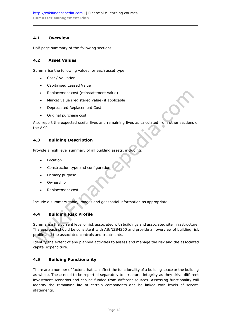## <span id="page-12-0"></span>**4.1 Overview**

Half page summary of the following sections.

### <span id="page-12-1"></span>**4.2 Asset Values**

Summarise the following values for each asset type:

- Cost / Valuation
- Capitalised Leased Value
- Replacement cost (reinstatement value)
- Market value (registered value) if applicable
- Depreciated Replacement Cost
- Original purchase cost

Also report the expected useful lives and remaining lives as calculated from other sections of the AMP.

#### <span id="page-12-2"></span>**4.3 Building Description**

Provide a high level summary of all building assets, including:

- Location
- Construction type and configuration
- Primary purpose
- Ownership
- Replacement cost

Include a summary table, images and geospatial information as appropriate.

# <span id="page-12-3"></span>**4.4 Building Risk Profile**

Summarise the current level of risk associated with buildings and associated site infrastructure. The approach should be consistent with AS/NZS4260 and provide an overview of building risk profile and the associated controls and treatments.

Identify the extent of any planned activities to assess and manage the risk and the associated capital expenditure.

### <span id="page-12-4"></span>**4.5 Building Functionality**

There are a number of factors that can affect the functionality of a building space or the building as whole. These need to be reported separately to structural integrity as they drive different investment scenarios and can be funded from different sources. Assessing functionality will identify the remaining life of certain components and be linked with levels of service statements.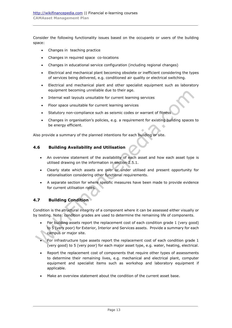Consider the following functionality issues based on the occupants or users of the building space:

- Changes in teaching practice
- Changes in required space co-locations
- Changes in educational service configuration (including regional changes)
- Electrical and mechanical plant becoming obsolete or inefficient considering the types of services being delivered, e.g. conditioned air quality or electrical switching.
- Electrical and mechanical plant and other specialist equipment such as laboratory equipment becoming unreliable due to their age.
- Internal wall layouts unsuitable for current learning services
- Floor space unsuitable for current learning services
- Statutory non-compliance such as seismic codes or warrant of fitness
- Changes in organisation's policies, e.g. a requirement for existing building spaces to be energy efficient.

Also provide a summary of the planned intentions for each building or site.

### <span id="page-13-0"></span>**4.6 Building Availability and Utilisation**

- An overview statement of the availability of each asset and how each asset type is utilised drawing on the information in section [2.5.1.](#page-8-1)
- Clearly state which assets are over or under utilised and present opportunity for rationalisation considering other functional requirements.
- A separate section for where specific measures have been made to provide evidence for current utilisation rates.

# <span id="page-13-1"></span>**4.7 Building Condition**

Condition is the structural integrity of a component where it can be assessed either visually or by testing. Note: condition grades are used to determine the remaining life of components.

- For building assets report the replacement cost of each condition grade 1 (very good) to 5 (very poor) for Exterior, Interior and Services assets. Provide a summary for each campus or major site.
- For infrastructure type assets report the replacement cost of each condition grade  $1$ (very good) to 5 (very poor) for each major asset type, e.g. water, heating, electrical.
- Report the replacement cost of components that require other types of assessments to determine their remaining lives, e.g. mechanical and electrical plant, computer equipment and specialist items such as workshop and laboratory equipment if applicable.
- Make an overview statement about the condition of the current asset base.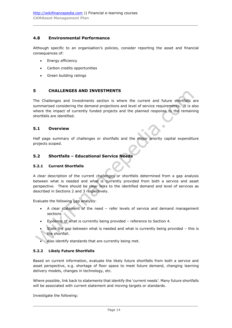## <span id="page-14-0"></span>**4.8 Environmental Performance**

Although specific to an organisation's policies, consider reporting the asset and financial consequences of:

- Energy efficiency
- Carbon credits opportunities
- Green building ratings

#### <span id="page-14-1"></span>**5 CHALLENGES AND INVESTMENTS**

The Challenges and Investments section is where the current and future shortfalls are summarised considering the demand projections and level of service requirements. It is also where the impact of currently funded projects and the planned response to the remaining shortfalls are identified.

#### <span id="page-14-2"></span>**5.1 Overview**

Half page summary of challenges or shortfalls and the major priority capital expenditure projects scoped.

۵

### <span id="page-14-3"></span>**5.2 Shortfalls – Educational Service Needs**

#### **5.2.1 Current Shortfalls**

A clear description of the current challenges or shortfalls determined from a gap analysis between what is needed and what is currently provided from both a service and asset perspective. There should be clear links to the identified demand and level of services as described in Sections [2](#page-4-4) and [3](#page-9-1) respectively.

Evaluate the following gap analysis:

- A clear statement of the need refer levels of service and demand management sections<sup>®</sup>
- Evidence of what is currently being provided reference to Section [4.](#page-11-1)
- State the gap between what is needed and what is currently being provided  $-$  this is the shortfall.
- Also identify standards that are currently being met.

#### **5.2.2 Likely Future Shortfalls**

Based on current information, evaluate the likely future shortfalls from both a service and asset perspective, e.g. shortage of floor space to meet future demand, changing learning delivery models, changes in technology, etc.

Where possible, link back to statements that identify the 'current needs'. Many future shortfalls will be associated with current statement and moving targets or standards.

Investigate the following: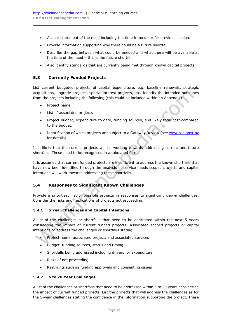- A clear statement of the need including the time frames refer previous section.
- Provide information supporting why there could be a future shortfall.
- Describe the gap between what could be needed and what there will be available at the time of the need – this is the future shortfall.
- Also identify standards that are currently being met through known capital projects.

## <span id="page-15-0"></span>**5.3 Currently Funded Projects**

List current budgeted projects of capital expenditure, e.g. baseline renewals, strategic acquisitions, upgrade projects, special interest projects, etc. Identify the intended outcomes from the projects including the following (this could be included within an Appendix):

- Project name
- List of associated projects
- Project budget, expenditure to date, funding sources, and likely total cost compared to the budget.
- Identification of which projects are subject to a Gateway Review (see [www.ssc.govt.nz](http://www.ssc.govt.nz/) for details).

It is likely that the current projects will be working towards addressing current and future shortfalls. These need to be recognised in a tabulated form.

It is assumed that current funded projects are insufficient to address the known shortfalls that have now been identified through the analysis of service needs scoped projects and capital intentions will work towards addressing these shortfalls.

### <span id="page-15-1"></span>**5.4 Responses to Significant Known Challenges**

Provide a prioritised list of possible projects in responses to significant known challenges. Consider the risks and implications of projects not proceeding.

### **5.4.1 5 Year Challenges and Capital Intentions**

A list of the challenges or shortfalls that need to be addressed within the next 5 years considering the impact of current funded projects. Associated scoped projects or capital intentions to address the challenges or shortfalls stating:

- Project name, associated project, and associated services
	- Budget, funding sources, status and timing
	- Shortfalls being addressed including drivers for expenditure
	- Risks of not proceeding
	- Restraints such as funding approvals and consenting issues

### **5.4.2 6 to 20 Year Challenges**

A list of the challenges or shortfalls that need to be addressed within 6 to 20 years considering the impact of current funded projects. List the projects that will address the challenges as for the 5-year challenges stating the confidence in the information supporting the project. These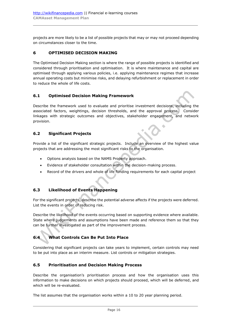projects are more likely to be a list of possible projects that may or may not proceed depending on circumstances closer to the time.

## <span id="page-16-0"></span>**6 OPTIMISED DECISION MAKING**

The Optimised Decision Making section is where the range of possible projects is identified and considered through prioritisation and optimisation. It is where maintenance and capital are optimised through applying various policies, i.e. applying maintenance regimes that increase annual operating costs but minimise risks, and delaying refurbishment or replacement in order to reduce the whole of life costs.

### <span id="page-16-1"></span>**6.1 Optimised Decision Making Framework**

Describe the framework used to evaluate and prioritise investment decisions, including the associated factors, weightings, decision thresholds, and the approval process. Consider linkages with strategic outcomes and objectives, stakeholder engagement, and network provision.

## <span id="page-16-2"></span>**6.2 Significant Projects**

Provide a list of the significant strategic projects. Include an overview of the highest value projects that are addressing the most significant risks to the organisation.

- Options analysis based on the NAMS Property approach.
- Evidence of stakeholder consultation within the decision-making process.
- Record of the drivers and whole of life funding requirements for each capital project

# <span id="page-16-3"></span>**6.3 Likelihood of Events Happening**

For the significant projects, describe the potential adverse affects if the projects were deferred. List the events in order of reducing risk.

Describe the likelihood of the events occurring based on supporting evidence where available. State where judgements and assumptions have been made and reference them so that they can be further investigated as part of the improvement process.

# <span id="page-16-4"></span>**6.4 What Controls Can Be Put Into Place**

Considering that significant projects can take years to implement, certain controls may need to be put into place as an interim measure. List controls or mitigation strategies.

### <span id="page-16-5"></span>**6.5 Prioritisation and Decision Making Process**

Describe the organisation's prioritisation process and how the organisation uses this information to make decisions on which projects should proceed, which will be deferred, and which will be re-evaluated.

The list assumes that the organisation works within a 10 to 20 year planning period.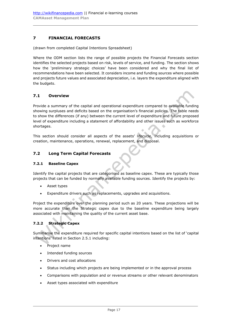# <span id="page-17-0"></span>**7 FINANCIAL FORECASTS**

(drawn from completed Capital Intentions Spreadsheet)

Where the ODM section lists the range of possible projects the Financial Forecasts section identifies the selected projects based on risk, levels of service, and funding. The section shows how the 'preliminary strategic choices' have been considered and why the final list of recommendations have been selected. It considers income and funding sources where possible and projects future values and associated depreciation, i.e. layers the expenditure aligned with the budgets.

## <span id="page-17-1"></span>**7.1 Overview**

Provide a summary of the capital and operational expenditure compared to available funding showing surpluses and deficits based on the organisation's financial policies. The table needs to show the differences (if any) between the current level of expenditure and future proposed level of expenditure including a statement of affordability and other issues such as workforce shortages.

This section should consider all aspects of the assets' lifecycle, including acquisitions or creation, maintenance, operations, renewal, replacement, and disposal.

#### <span id="page-17-2"></span>**7.2 Long Term Capital Forecasts**

#### **7.2.1 Baseline Capex**

Identify the capital projects that are categorised as baseline capex. These are typically those projects that can be funded by normally available funding sources. Identify the projects by:

- Asset types
- Expenditure drivers such as replacements, upgrades and acquisitions.

Project the expenditure over the planning period such as 20 years. These projections will be more accurate than the Strategic capex due to the baseline expenditure being largely associated with maintaining the quality of the current asset base.

#### **7.2.2 Strategic Capex**

Summarise the expenditure required for specific capital intentions based on the list of 'capital intentions' listed in Section [2.5.1](#page-8-1) including:

- Project name
- Intended funding sources
- Drivers and cost allocations
- Status including which projects are being implemented or in the approval process
- Comparisons with population and or revenue streams or other relevant denominators
- Asset types associated with expenditure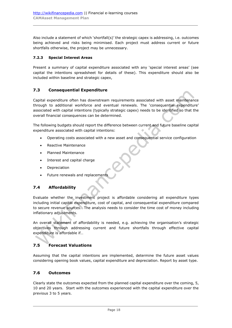Also include a statement of which 'shortfall(s)' the strategic capex is addressing, i.e. outcomes being achieved and risks being minimised. Each project must address current or future shortfalls otherwise, the project may be unnecessary.

### **7.2.3 Special Interest Areas**

Present a summary of capital expenditure associated with any 'special interest areas' (see capital the intentions spreadsheet for details of these). This expenditure should also be included within baseline and strategic capex,

# <span id="page-18-0"></span>**7.3 Consequential Expenditure**

Capital expenditure often has downstream requirements associated with asset maintenance through to additional workforce and eventual renewals. The 'consequential expenditure' associated with capital intentions (typically strategic capex) needs to be identified so that the overall financial consequences can be determined.

The following budgets should report the difference between current and future baseline capital expenditure associated with capital intentions:

- Operating costs associated with a new asset and consequential service configuration
- Reactive Maintenance
- Planned Maintenance
- Interest and capital charge
- Depreciation
- Future renewals and replacements

# <span id="page-18-1"></span>**7.4 Affordability**

Evaluate whether the investment project is affordable considering all expenditure types including initial capital expenditure, cost of capital, and consequential expenditure compared to secure revenue sources. The analysis needs to consider the time cost of money including inflationary adjustments.

An overall statement of affordability is needed, e.g. achieving the organisation's strategic objectives through addressing current and future shortfalls through effective capital expenditure is affordable if…

# <span id="page-18-2"></span>**7.5 Forecast Valuations**

Assuming that the capital intentions are implemented, determine the future asset values considering opening book values, capital expenditure and depreciation. Report by asset type.

## <span id="page-18-3"></span>**7.6 Outcomes**

Clearly state the outcomes expected from the planned capital expenditure over the coming, 5, 10 and 20 years. Start with the outcomes experienced with the capital expenditure over the previous 3 to 5 years.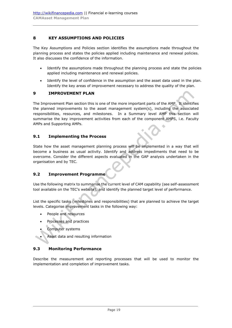# <span id="page-19-0"></span>**8 KEY ASSUMPTIONS AND POLICIES**

The Key Assumptions and Policies section identifies the assumptions made throughout the planning process and states the policies applied including maintenance and renewal policies. It also discusses the confidence of the information.

- Identify the assumptions made throughout the planning process and state the policies applied including maintenance and renewal policies.
- Identify the level of confidence in the assumption and the asset data used in the plan. Identify the key areas of improvement necessary to address the quality of the plan.

### <span id="page-19-1"></span>**9 IMPROVEMENT PLAN**

The Improvement Plan section this is one of the more important parts of the AMP. It identifies the planned improvements to the asset management system(s), including the associated responsibilities, resources, and milestones. In a Summary level AMP this section will summarise the key improvement activities from each of the component AMPS, i.e. Faculty AMPs and Supporting AMPs.

### <span id="page-19-2"></span>**9.1 Implementing the Process**

State how the asset management planning process will be implemented in a way that will become a business as usual activity. Identify and address impediments that need to be overcome. Consider the different aspects evaluated in the GAP analysis undertaken in the organisation and by TEC.

### <span id="page-19-3"></span>**9.2 Improvement Programme**

Use the following matrix to summarise the current level of CAM capability (see self-assessment tool available on the TEC's website), and identify the planned target level of performance.

List the specific tasks (milestones and responsibilities) that are planned to achieve the target levels. Categorise improvement tasks in the following way:

- People and resources
- Processes and practices
- Computer systems
- Asset data and resulting information

### <span id="page-19-4"></span>**9.3 Monitoring Performance**

Describe the measurement and reporting processes that will be used to monitor the implementation and completion of improvement tasks.